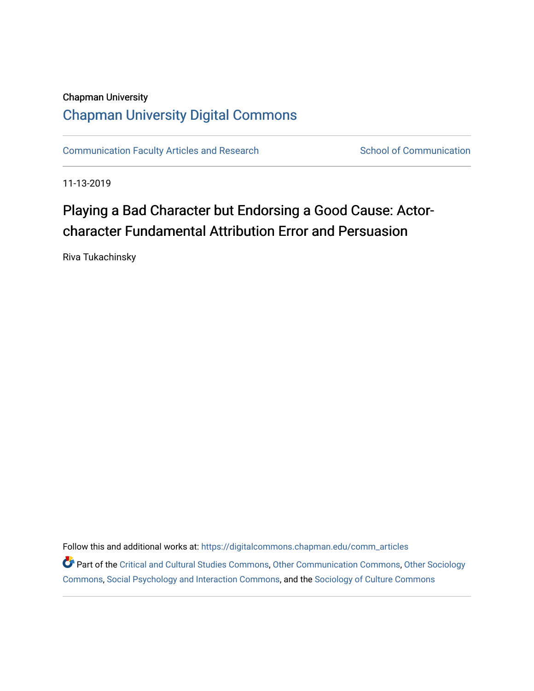## Chapman University [Chapman University Digital Commons](https://digitalcommons.chapman.edu/)

[Communication Faculty Articles and Research](https://digitalcommons.chapman.edu/comm_articles) School of Communication

11-13-2019

# Playing a Bad Character but Endorsing a Good Cause: Actorcharacter Fundamental Attribution Error and Persuasion

Riva Tukachinsky

Follow this and additional works at: [https://digitalcommons.chapman.edu/comm\\_articles](https://digitalcommons.chapman.edu/comm_articles?utm_source=digitalcommons.chapman.edu%2Fcomm_articles%2F69&utm_medium=PDF&utm_campaign=PDFCoverPages) 

Part of the [Critical and Cultural Studies Commons](http://network.bepress.com/hgg/discipline/328?utm_source=digitalcommons.chapman.edu%2Fcomm_articles%2F69&utm_medium=PDF&utm_campaign=PDFCoverPages), [Other Communication Commons](http://network.bepress.com/hgg/discipline/339?utm_source=digitalcommons.chapman.edu%2Fcomm_articles%2F69&utm_medium=PDF&utm_campaign=PDFCoverPages), [Other Sociology](http://network.bepress.com/hgg/discipline/434?utm_source=digitalcommons.chapman.edu%2Fcomm_articles%2F69&utm_medium=PDF&utm_campaign=PDFCoverPages)  [Commons](http://network.bepress.com/hgg/discipline/434?utm_source=digitalcommons.chapman.edu%2Fcomm_articles%2F69&utm_medium=PDF&utm_campaign=PDFCoverPages), [Social Psychology and Interaction Commons,](http://network.bepress.com/hgg/discipline/430?utm_source=digitalcommons.chapman.edu%2Fcomm_articles%2F69&utm_medium=PDF&utm_campaign=PDFCoverPages) and the [Sociology of Culture Commons](http://network.bepress.com/hgg/discipline/431?utm_source=digitalcommons.chapman.edu%2Fcomm_articles%2F69&utm_medium=PDF&utm_campaign=PDFCoverPages)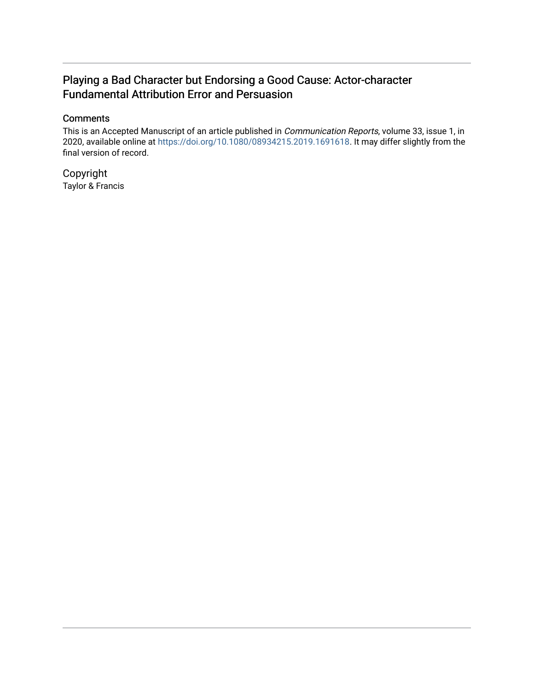### Playing a Bad Character but Endorsing a Good Cause: Actor-character Fundamental Attribution Error and Persuasion

### **Comments**

This is an Accepted Manuscript of an article published in Communication Reports, volume 33, issue 1, in 2020, available online at<https://doi.org/10.1080/08934215.2019.1691618>. It may differ slightly from the final version of record.

Copyright Taylor & Francis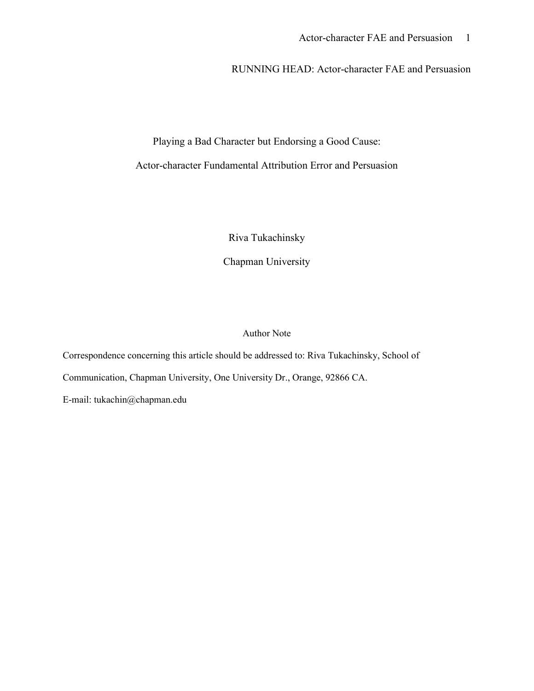### RUNNING HEAD: Actor-character FAE and Persuasion

Playing a Bad Character but Endorsing a Good Cause:

Actor-character Fundamental Attribution Error and Persuasion

Riva Tukachinsky

Chapman University

Author Note

Correspondence concerning this article should be addressed to: Riva Tukachinsky, School of Communication, Chapman University, One University Dr., Orange, 92866 CA. E-mail: tukachin@chapman.edu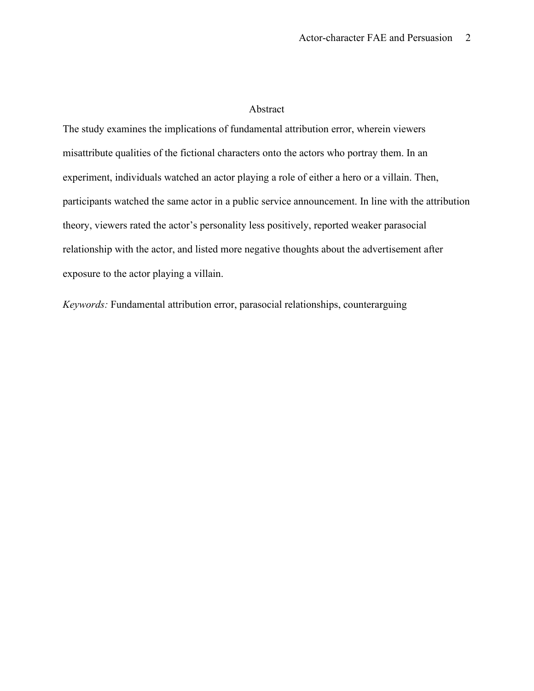#### Abstract

The study examines the implications of fundamental attribution error, wherein viewers misattribute qualities of the fictional characters onto the actors who portray them. In an experiment, individuals watched an actor playing a role of either a hero or a villain. Then, participants watched the same actor in a public service announcement. In line with the attribution theory, viewers rated the actor's personality less positively, reported weaker parasocial relationship with the actor, and listed more negative thoughts about the advertisement after exposure to the actor playing a villain.

*Keywords:* Fundamental attribution error, parasocial relationships, counterarguing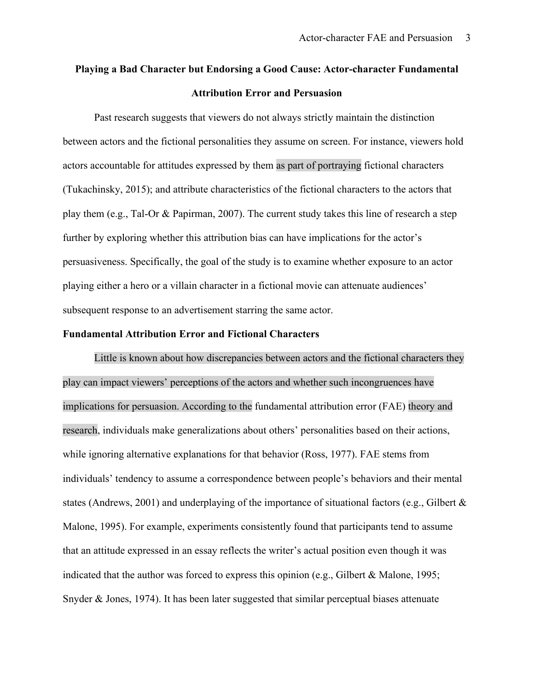# **Playing a Bad Character but Endorsing a Good Cause: Actor-character Fundamental Attribution Error and Persuasion**

Past research suggests that viewers do not always strictly maintain the distinction between actors and the fictional personalities they assume on screen. For instance, viewers hold actors accountable for attitudes expressed by them as part of portraying fictional characters (Tukachinsky, 2015); and attribute characteristics of the fictional characters to the actors that play them (e.g., Tal-Or & Papirman, 2007). The current study takes this line of research a step further by exploring whether this attribution bias can have implications for the actor's persuasiveness. Specifically, the goal of the study is to examine whether exposure to an actor playing either a hero or a villain character in a fictional movie can attenuate audiences' subsequent response to an advertisement starring the same actor.

#### **Fundamental Attribution Error and Fictional Characters**

Little is known about how discrepancies between actors and the fictional characters they play can impact viewers' perceptions of the actors and whether such incongruences have implications for persuasion. According to the fundamental attribution error (FAE) theory and research, individuals make generalizations about others' personalities based on their actions, while ignoring alternative explanations for that behavior (Ross, 1977). FAE stems from individuals' tendency to assume a correspondence between people's behaviors and their mental states (Andrews, 2001) and underplaying of the importance of situational factors (e.g., Gilbert & Malone, 1995). For example, experiments consistently found that participants tend to assume that an attitude expressed in an essay reflects the writer's actual position even though it was indicated that the author was forced to express this opinion (e.g., Gilbert & Malone, 1995; Snyder & Jones, 1974). It has been later suggested that similar perceptual biases attenuate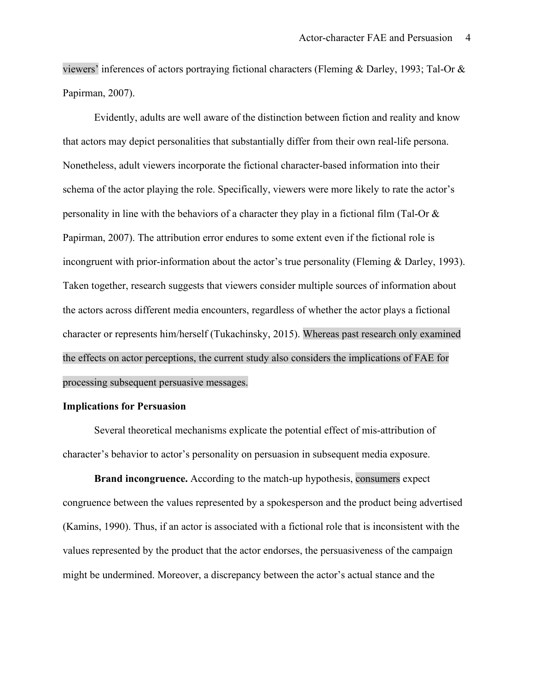viewers' inferences of actors portraying fictional characters (Fleming & Darley, 1993; Tal-Or & Papirman, 2007).

Evidently, adults are well aware of the distinction between fiction and reality and know that actors may depict personalities that substantially differ from their own real-life persona. Nonetheless, adult viewers incorporate the fictional character-based information into their schema of the actor playing the role. Specifically, viewers were more likely to rate the actor's personality in line with the behaviors of a character they play in a fictional film (Tal-Or & Papirman, 2007). The attribution error endures to some extent even if the fictional role is incongruent with prior-information about the actor's true personality (Fleming & Darley, 1993). Taken together, research suggests that viewers consider multiple sources of information about the actors across different media encounters, regardless of whether the actor plays a fictional character or represents him/herself (Tukachinsky, 2015). Whereas past research only examined the effects on actor perceptions, the current study also considers the implications of FAE for processing subsequent persuasive messages.

#### **Implications for Persuasion**

Several theoretical mechanisms explicate the potential effect of mis-attribution of character's behavior to actor's personality on persuasion in subsequent media exposure.

**Brand incongruence.** According to the match-up hypothesis, consumers expect congruence between the values represented by a spokesperson and the product being advertised (Kamins, 1990). Thus, if an actor is associated with a fictional role that is inconsistent with the values represented by the product that the actor endorses, the persuasiveness of the campaign might be undermined. Moreover, a discrepancy between the actor's actual stance and the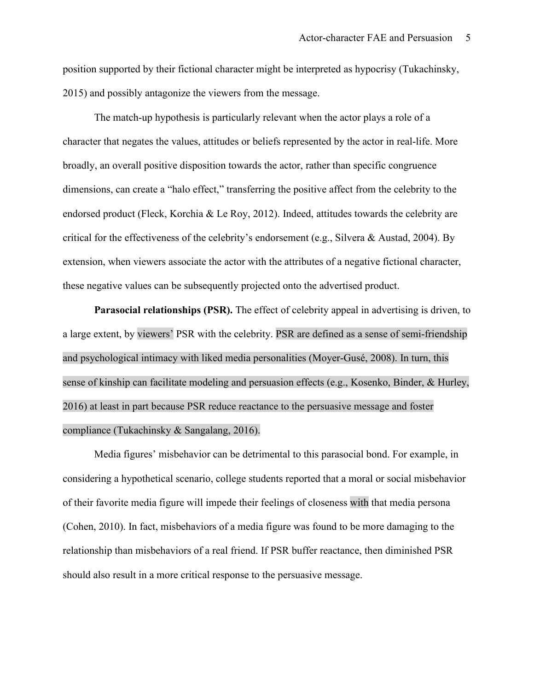position supported by their fictional character might be interpreted as hypocrisy (Tukachinsky, 2015) and possibly antagonize the viewers from the message.

The match-up hypothesis is particularly relevant when the actor plays a role of a character that negates the values, attitudes or beliefs represented by the actor in real-life. More broadly, an overall positive disposition towards the actor, rather than specific congruence dimensions, can create a "halo effect," transferring the positive affect from the celebrity to the endorsed product (Fleck, Korchia & Le Roy, 2012). Indeed, attitudes towards the celebrity are critical for the effectiveness of the celebrity's endorsement (e.g., Silvera & Austad, 2004). By extension, when viewers associate the actor with the attributes of a negative fictional character, these negative values can be subsequently projected onto the advertised product.

**Parasocial relationships (PSR).** The effect of celebrity appeal in advertising is driven, to a large extent, by viewers' PSR with the celebrity. PSR are defined as a sense of semi-friendship and psychological intimacy with liked media personalities (Moyer-Gusé, 2008). In turn, this sense of kinship can facilitate modeling and persuasion effects (e.g., Kosenko, Binder, & Hurley, 2016) at least in part because PSR reduce reactance to the persuasive message and foster compliance (Tukachinsky & Sangalang, 2016).

Media figures' misbehavior can be detrimental to this parasocial bond. For example, in considering a hypothetical scenario, college students reported that a moral or social misbehavior of their favorite media figure will impede their feelings of closeness with that media persona (Cohen, 2010). In fact, misbehaviors of a media figure was found to be more damaging to the relationship than misbehaviors of a real friend. If PSR buffer reactance, then diminished PSR should also result in a more critical response to the persuasive message.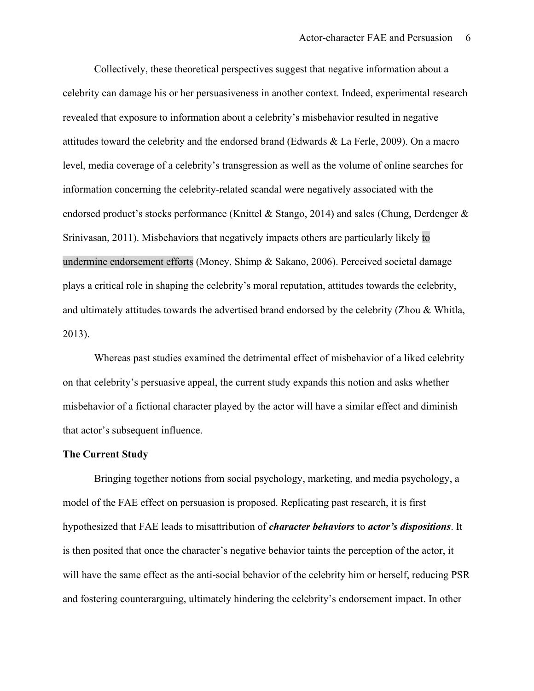Collectively, these theoretical perspectives suggest that negative information about a celebrity can damage his or her persuasiveness in another context. Indeed, experimental research revealed that exposure to information about a celebrity's misbehavior resulted in negative attitudes toward the celebrity and the endorsed brand (Edwards & La Ferle, 2009). On a macro level, media coverage of a celebrity's transgression as well as the volume of online searches for information concerning the celebrity-related scandal were negatively associated with the endorsed product's stocks performance (Knittel & Stango, 2014) and sales (Chung, Derdenger & Srinivasan, 2011). Misbehaviors that negatively impacts others are particularly likely to undermine endorsement efforts (Money, Shimp & Sakano, 2006). Perceived societal damage plays a critical role in shaping the celebrity's moral reputation, attitudes towards the celebrity, and ultimately attitudes towards the advertised brand endorsed by the celebrity (Zhou & Whitla, 2013).

Whereas past studies examined the detrimental effect of misbehavior of a liked celebrity on that celebrity's persuasive appeal, the current study expands this notion and asks whether misbehavior of a fictional character played by the actor will have a similar effect and diminish that actor's subsequent influence.

#### **The Current Study**

Bringing together notions from social psychology, marketing, and media psychology, a model of the FAE effect on persuasion is proposed. Replicating past research, it is first hypothesized that FAE leads to misattribution of *character behaviors* to *actor's dispositions*. It is then posited that once the character's negative behavior taints the perception of the actor, it will have the same effect as the anti-social behavior of the celebrity him or herself, reducing PSR and fostering counterarguing, ultimately hindering the celebrity's endorsement impact. In other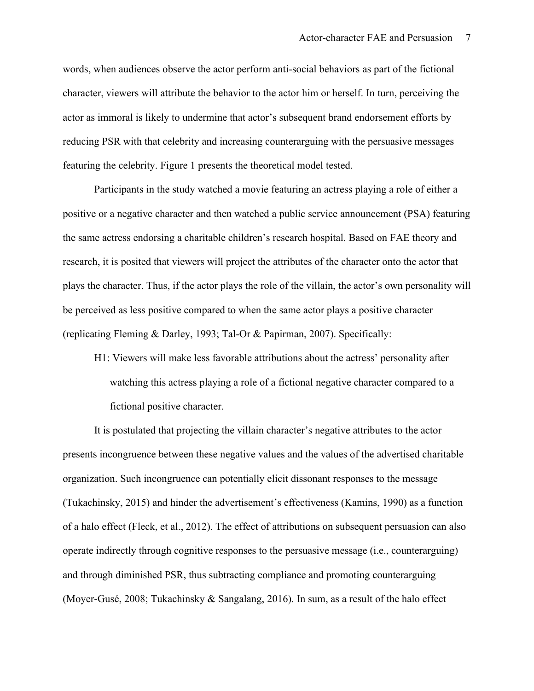words, when audiences observe the actor perform anti-social behaviors as part of the fictional character, viewers will attribute the behavior to the actor him or herself. In turn, perceiving the actor as immoral is likely to undermine that actor's subsequent brand endorsement efforts by reducing PSR with that celebrity and increasing counterarguing with the persuasive messages featuring the celebrity. Figure 1 presents the theoretical model tested.

Participants in the study watched a movie featuring an actress playing a role of either a positive or a negative character and then watched a public service announcement (PSA) featuring the same actress endorsing a charitable children's research hospital. Based on FAE theory and research, it is posited that viewers will project the attributes of the character onto the actor that plays the character. Thus, if the actor plays the role of the villain, the actor's own personality will be perceived as less positive compared to when the same actor plays a positive character (replicating Fleming & Darley, 1993; Tal-Or & Papirman, 2007). Specifically:

H1: Viewers will make less favorable attributions about the actress' personality after watching this actress playing a role of a fictional negative character compared to a fictional positive character.

It is postulated that projecting the villain character's negative attributes to the actor presents incongruence between these negative values and the values of the advertised charitable organization. Such incongruence can potentially elicit dissonant responses to the message (Tukachinsky, 2015) and hinder the advertisement's effectiveness (Kamins, 1990) as a function of a halo effect (Fleck, et al., 2012). The effect of attributions on subsequent persuasion can also operate indirectly through cognitive responses to the persuasive message (i.e., counterarguing) and through diminished PSR, thus subtracting compliance and promoting counterarguing (Moyer-Gusé, 2008; Tukachinsky & Sangalang, 2016). In sum, as a result of the halo effect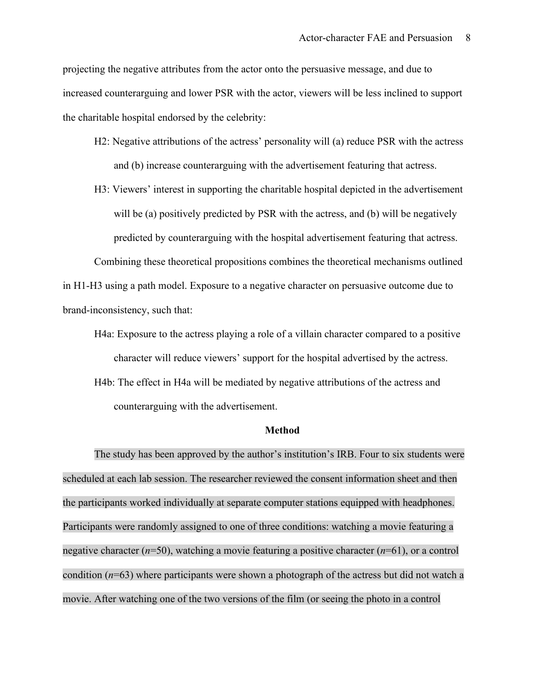projecting the negative attributes from the actor onto the persuasive message, and due to increased counterarguing and lower PSR with the actor, viewers will be less inclined to support the charitable hospital endorsed by the celebrity:

- H2: Negative attributions of the actress' personality will (a) reduce PSR with the actress and (b) increase counterarguing with the advertisement featuring that actress.
- H3: Viewers' interest in supporting the charitable hospital depicted in the advertisement will be (a) positively predicted by PSR with the actress, and (b) will be negatively predicted by counterarguing with the hospital advertisement featuring that actress.

Combining these theoretical propositions combines the theoretical mechanisms outlined in H1-H3 using a path model. Exposure to a negative character on persuasive outcome due to brand-inconsistency, such that:

H4a: Exposure to the actress playing a role of a villain character compared to a positive character will reduce viewers' support for the hospital advertised by the actress. H4b: The effect in H4a will be mediated by negative attributions of the actress and counterarguing with the advertisement.

#### **Method**

The study has been approved by the author's institution's IRB. Four to six students were scheduled at each lab session. The researcher reviewed the consent information sheet and then the participants worked individually at separate computer stations equipped with headphones. Participants were randomly assigned to one of three conditions: watching a movie featuring a negative character (*n*=50), watching a movie featuring a positive character (*n*=61), or a control condition (*n*=63) where participants were shown a photograph of the actress but did not watch a movie. After watching one of the two versions of the film (or seeing the photo in a control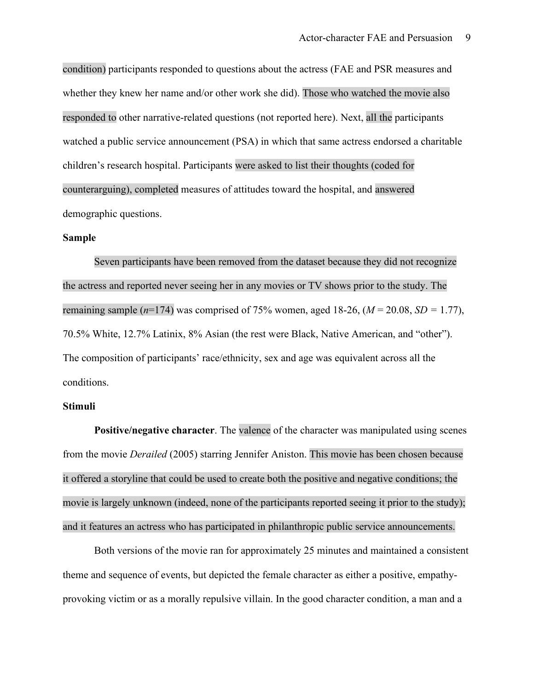condition) participants responded to questions about the actress (FAE and PSR measures and whether they knew her name and/or other work she did). Those who watched the movie also responded to other narrative-related questions (not reported here). Next, all the participants watched a public service announcement (PSA) in which that same actress endorsed a charitable children's research hospital. Participants were asked to list their thoughts (coded for counterarguing), completed measures of attitudes toward the hospital, and answered demographic questions.

#### **Sample**

Seven participants have been removed from the dataset because they did not recognize the actress and reported never seeing her in any movies or TV shows prior to the study. The remaining sample  $(n=174)$  was comprised of 75% women, aged 18-26,  $(M = 20.08, SD = 1.77)$ , 70.5% White, 12.7% Latinix, 8% Asian (the rest were Black, Native American, and "other"). The composition of participants' race/ethnicity, sex and age was equivalent across all the conditions.

#### **Stimuli**

**Positive/negative character**. The valence of the character was manipulated using scenes from the movie *Derailed* (2005) starring Jennifer Aniston. This movie has been chosen because it offered a storyline that could be used to create both the positive and negative conditions; the movie is largely unknown (indeed, none of the participants reported seeing it prior to the study); and it features an actress who has participated in philanthropic public service announcements.

Both versions of the movie ran for approximately 25 minutes and maintained a consistent theme and sequence of events, but depicted the female character as either a positive, empathyprovoking victim or as a morally repulsive villain. In the good character condition, a man and a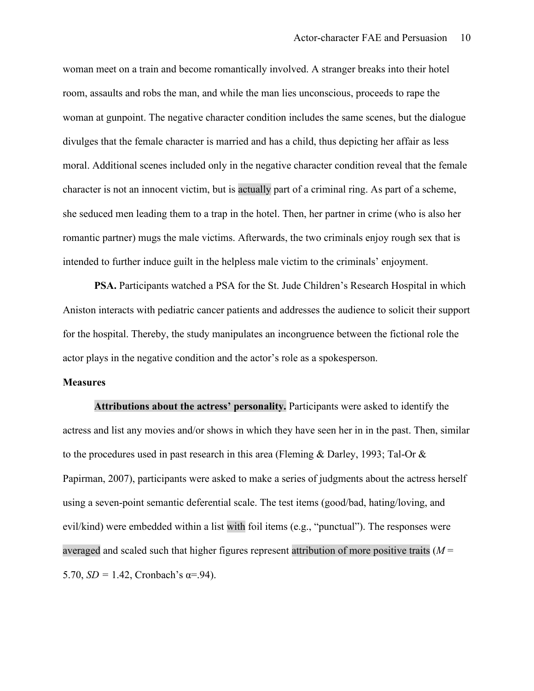woman meet on a train and become romantically involved. A stranger breaks into their hotel room, assaults and robs the man, and while the man lies unconscious, proceeds to rape the woman at gunpoint. The negative character condition includes the same scenes, but the dialogue divulges that the female character is married and has a child, thus depicting her affair as less moral. Additional scenes included only in the negative character condition reveal that the female character is not an innocent victim, but is actually part of a criminal ring. As part of a scheme, she seduced men leading them to a trap in the hotel. Then, her partner in crime (who is also her romantic partner) mugs the male victims. Afterwards, the two criminals enjoy rough sex that is intended to further induce guilt in the helpless male victim to the criminals' enjoyment.

**PSA.** Participants watched a PSA for the St. Jude Children's Research Hospital in which Aniston interacts with pediatric cancer patients and addresses the audience to solicit their support for the hospital. Thereby, the study manipulates an incongruence between the fictional role the actor plays in the negative condition and the actor's role as a spokesperson.

#### **Measures**

**Attributions about the actress' personality.** Participants were asked to identify the actress and list any movies and/or shows in which they have seen her in in the past. Then, similar to the procedures used in past research in this area (Fleming & Darley, 1993; Tal-Or & Papirman, 2007), participants were asked to make a series of judgments about the actress herself using a seven-point semantic deferential scale. The test items (good/bad, hating/loving, and evil/kind) were embedded within a list with foil items (e.g., "punctual"). The responses were averaged and scaled such that higher figures represent attribution of more positive traits (*M* = 5.70,  $SD = 1.42$ , Cronbach's  $\alpha = .94$ ).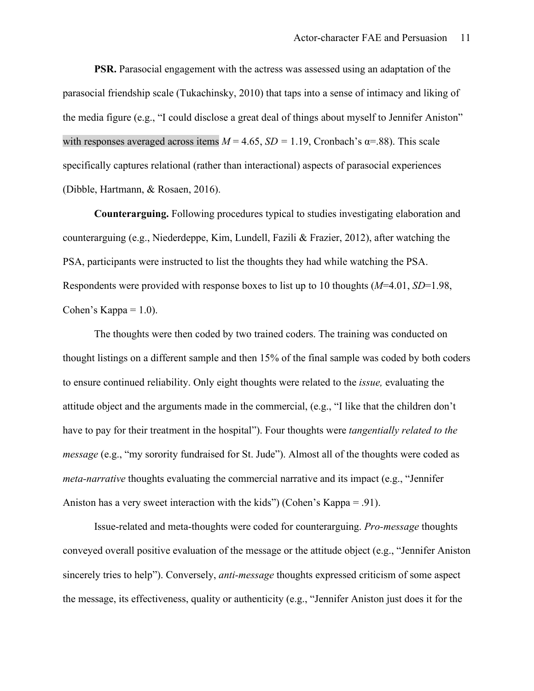**PSR.** Parasocial engagement with the actress was assessed using an adaptation of the parasocial friendship scale (Tukachinsky, 2010) that taps into a sense of intimacy and liking of the media figure (e.g., "I could disclose a great deal of things about myself to Jennifer Aniston" with responses averaged across items  $M = 4.65$ ,  $SD = 1.19$ , Cronbach's  $\alpha = .88$ ). This scale specifically captures relational (rather than interactional) aspects of parasocial experiences (Dibble, Hartmann, & Rosaen, 2016).

**Counterarguing.** Following procedures typical to studies investigating elaboration and counterarguing (e.g., Niederdeppe, Kim, Lundell, Fazili & Frazier, 2012), after watching the PSA, participants were instructed to list the thoughts they had while watching the PSA. Respondents were provided with response boxes to list up to 10 thoughts (*M*=4.01, *SD*=1.98, Cohen's Kappa  $= 1.0$ ).

The thoughts were then coded by two trained coders. The training was conducted on thought listings on a different sample and then 15% of the final sample was coded by both coders to ensure continued reliability. Only eight thoughts were related to the *issue,* evaluating the attitude object and the arguments made in the commercial, (e.g., "I like that the children don't have to pay for their treatment in the hospital"). Four thoughts were *tangentially related to the message* (e.g., "my sorority fundraised for St. Jude"). Almost all of the thoughts were coded as *meta-narrative* thoughts evaluating the commercial narrative and its impact (e.g., "Jennifer Aniston has a very sweet interaction with the kids") (Cohen's Kappa = .91).

Issue-related and meta-thoughts were coded for counterarguing. *Pro-message* thoughts conveyed overall positive evaluation of the message or the attitude object (e.g., "Jennifer Aniston sincerely tries to help"). Conversely, *anti-message* thoughts expressed criticism of some aspect the message, its effectiveness, quality or authenticity (e.g., "Jennifer Aniston just does it for the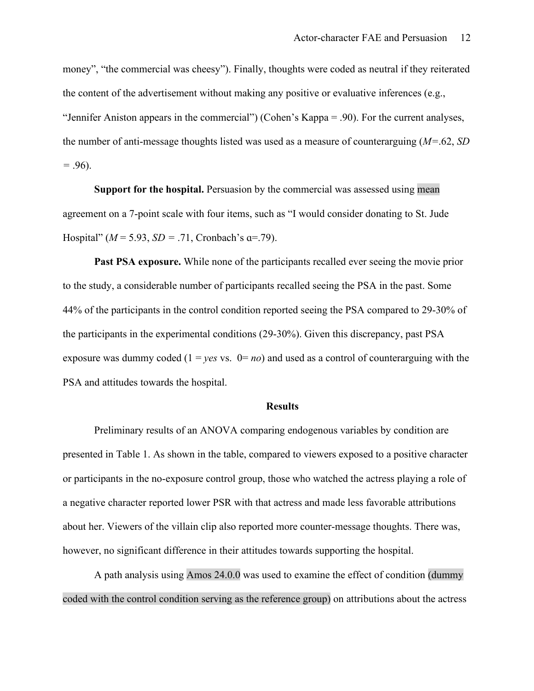money", "the commercial was cheesy"). Finally, thoughts were coded as neutral if they reiterated the content of the advertisement without making any positive or evaluative inferences (e.g., "Jennifer Aniston appears in the commercial") (Cohen's Kappa = .90). For the current analyses, the number of anti-message thoughts listed was used as a measure of counterarguing (*M=*.62, *SD =* .96).

**Support for the hospital.** Persuasion by the commercial was assessed using mean agreement on a 7-point scale with four items, such as "I would consider donating to St. Jude Hospital" ( $M = 5.93$ ,  $SD = .71$ , Cronbach's  $\alpha = .79$ ).

**Past PSA exposure.** While none of the participants recalled ever seeing the movie prior to the study, a considerable number of participants recalled seeing the PSA in the past. Some 44% of the participants in the control condition reported seeing the PSA compared to 29-30% of the participants in the experimental conditions (29-30%). Given this discrepancy, past PSA exposure was dummy coded  $(1 = yes \text{ vs. } 0 = no)$  and used as a control of counterarguing with the PSA and attitudes towards the hospital.

#### **Results**

Preliminary results of an ANOVA comparing endogenous variables by condition are presented in Table 1. As shown in the table, compared to viewers exposed to a positive character or participants in the no-exposure control group, those who watched the actress playing a role of a negative character reported lower PSR with that actress and made less favorable attributions about her. Viewers of the villain clip also reported more counter-message thoughts. There was, however, no significant difference in their attitudes towards supporting the hospital.

A path analysis using Amos 24.0.0 was used to examine the effect of condition (dummy coded with the control condition serving as the reference group) on attributions about the actress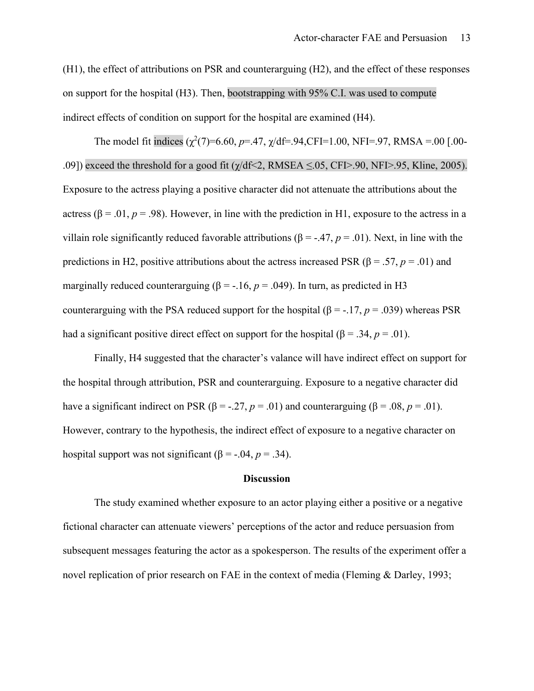(H1), the effect of attributions on PSR and counterarguing (H2), and the effect of these responses on support for the hospital (H3). Then, bootstrapping with 95% C.I. was used to compute indirect effects of condition on support for the hospital are examined (H4).

The model fit indices  $(\chi^2(7)=6.60, p=.47, \chi/df=.94, CFI=1.00, NFI=.97, RMSA=.00[.00-1.00, KSI=0.00]$ .09]) exceed the threshold for a good fit  $(\gamma/df \le 2, \text{RMSEA} \le 0.05, \text{CFI} > 0.9, \text{NFI} > 0.95, \text{Kline}, 2005).$ Exposure to the actress playing a positive character did not attenuate the attributions about the actress ( $\beta$  = .01, *p* = .98). However, in line with the prediction in H1, exposure to the actress in a villain role significantly reduced favorable attributions ( $\beta$  = -.47,  $p$  = .01). Next, in line with the predictions in H2, positive attributions about the actress increased PSR ( $\beta$  = .57, *p* = .01) and marginally reduced counterarguing ( $\beta$  = -.16,  $p$  = .049). In turn, as predicted in H3 counterarguing with the PSA reduced support for the hospital ( $\beta$  = -.17, *p* = .039) whereas PSR had a significant positive direct effect on support for the hospital ( $\beta = .34$ ,  $p = .01$ ).

Finally, H4 suggested that the character's valance will have indirect effect on support for the hospital through attribution, PSR and counterarguing. Exposure to a negative character did have a significant indirect on PSR ( $\beta$  = -.27, *p* = .01) and counterarguing ( $\beta$  = .08, *p* = .01). However, contrary to the hypothesis, the indirect effect of exposure to a negative character on hospital support was not significant ( $\beta$  = -.04, *p* = .34).

#### **Discussion**

The study examined whether exposure to an actor playing either a positive or a negative fictional character can attenuate viewers' perceptions of the actor and reduce persuasion from subsequent messages featuring the actor as a spokesperson. The results of the experiment offer a novel replication of prior research on FAE in the context of media (Fleming & Darley, 1993;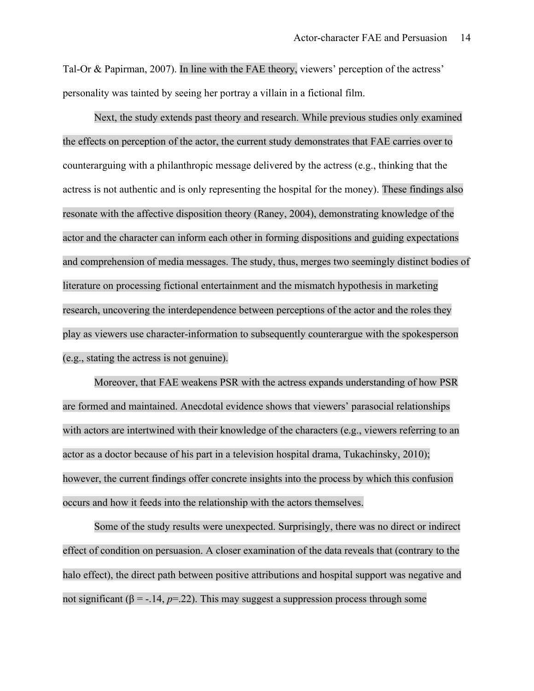Tal-Or & Papirman, 2007). In line with the FAE theory, viewers' perception of the actress' personality was tainted by seeing her portray a villain in a fictional film.

Next, the study extends past theory and research. While previous studies only examined the effects on perception of the actor, the current study demonstrates that FAE carries over to counterarguing with a philanthropic message delivered by the actress (e.g., thinking that the actress is not authentic and is only representing the hospital for the money). These findings also resonate with the affective disposition theory (Raney, 2004), demonstrating knowledge of the actor and the character can inform each other in forming dispositions and guiding expectations and comprehension of media messages. The study, thus, merges two seemingly distinct bodies of literature on processing fictional entertainment and the mismatch hypothesis in marketing research, uncovering the interdependence between perceptions of the actor and the roles they play as viewers use character-information to subsequently counterargue with the spokesperson (e.g., stating the actress is not genuine).

Moreover, that FAE weakens PSR with the actress expands understanding of how PSR are formed and maintained. Anecdotal evidence shows that viewers' parasocial relationships with actors are intertwined with their knowledge of the characters (e.g., viewers referring to an actor as a doctor because of his part in a television hospital drama, Tukachinsky, 2010); however, the current findings offer concrete insights into the process by which this confusion occurs and how it feeds into the relationship with the actors themselves.

Some of the study results were unexpected. Surprisingly, there was no direct or indirect effect of condition on persuasion. A closer examination of the data reveals that (contrary to the halo effect), the direct path between positive attributions and hospital support was negative and not significant ( $\beta$  = -.14,  $p=22$ ). This may suggest a suppression process through some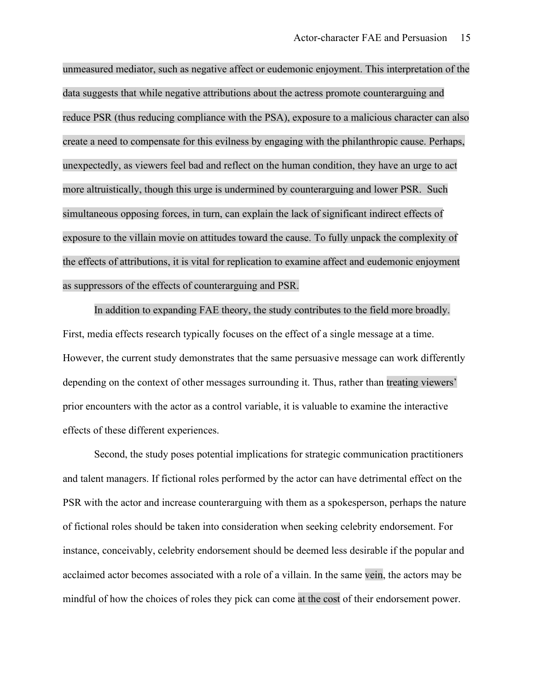unmeasured mediator, such as negative affect or eudemonic enjoyment. This interpretation of the data suggests that while negative attributions about the actress promote counterarguing and reduce PSR (thus reducing compliance with the PSA), exposure to a malicious character can also create a need to compensate for this evilness by engaging with the philanthropic cause. Perhaps, unexpectedly, as viewers feel bad and reflect on the human condition, they have an urge to act more altruistically, though this urge is undermined by counterarguing and lower PSR. Such simultaneous opposing forces, in turn, can explain the lack of significant indirect effects of exposure to the villain movie on attitudes toward the cause. To fully unpack the complexity of the effects of attributions, it is vital for replication to examine affect and eudemonic enjoyment as suppressors of the effects of counterarguing and PSR.

In addition to expanding FAE theory, the study contributes to the field more broadly. First, media effects research typically focuses on the effect of a single message at a time. However, the current study demonstrates that the same persuasive message can work differently depending on the context of other messages surrounding it. Thus, rather than treating viewers' prior encounters with the actor as a control variable, it is valuable to examine the interactive effects of these different experiences.

Second, the study poses potential implications for strategic communication practitioners and talent managers. If fictional roles performed by the actor can have detrimental effect on the PSR with the actor and increase counterarguing with them as a spokesperson, perhaps the nature of fictional roles should be taken into consideration when seeking celebrity endorsement. For instance, conceivably, celebrity endorsement should be deemed less desirable if the popular and acclaimed actor becomes associated with a role of a villain. In the same vein, the actors may be mindful of how the choices of roles they pick can come at the cost of their endorsement power.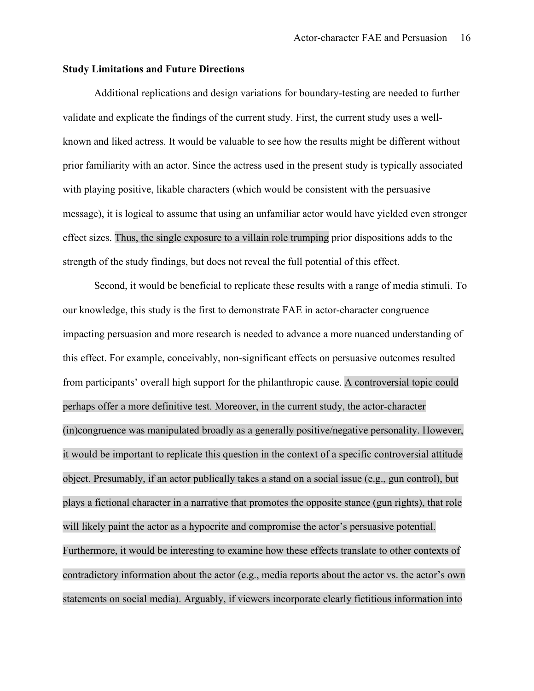#### **Study Limitations and Future Directions**

Additional replications and design variations for boundary-testing are needed to further validate and explicate the findings of the current study. First, the current study uses a wellknown and liked actress. It would be valuable to see how the results might be different without prior familiarity with an actor. Since the actress used in the present study is typically associated with playing positive, likable characters (which would be consistent with the persuasive message), it is logical to assume that using an unfamiliar actor would have yielded even stronger effect sizes. Thus, the single exposure to a villain role trumping prior dispositions adds to the strength of the study findings, but does not reveal the full potential of this effect.

Second, it would be beneficial to replicate these results with a range of media stimuli. To our knowledge, this study is the first to demonstrate FAE in actor-character congruence impacting persuasion and more research is needed to advance a more nuanced understanding of this effect. For example, conceivably, non-significant effects on persuasive outcomes resulted from participants' overall high support for the philanthropic cause. A controversial topic could perhaps offer a more definitive test. Moreover, in the current study, the actor-character (in)congruence was manipulated broadly as a generally positive/negative personality. However, it would be important to replicate this question in the context of a specific controversial attitude object. Presumably, if an actor publically takes a stand on a social issue (e.g., gun control), but plays a fictional character in a narrative that promotes the opposite stance (gun rights), that role will likely paint the actor as a hypocrite and compromise the actor's persuasive potential. Furthermore, it would be interesting to examine how these effects translate to other contexts of contradictory information about the actor (e.g., media reports about the actor vs. the actor's own statements on social media). Arguably, if viewers incorporate clearly fictitious information into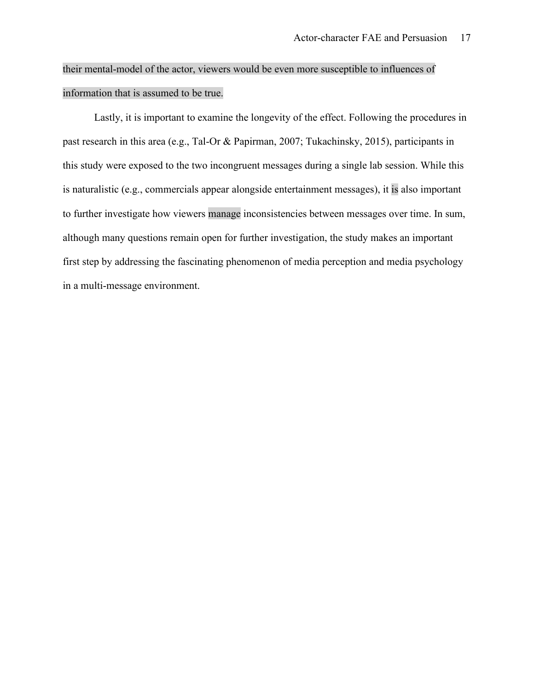# their mental-model of the actor, viewers would be even more susceptible to influences of information that is assumed to be true.

Lastly, it is important to examine the longevity of the effect. Following the procedures in past research in this area (e.g., Tal-Or & Papirman, 2007; Tukachinsky, 2015), participants in this study were exposed to the two incongruent messages during a single lab session. While this is naturalistic (e.g., commercials appear alongside entertainment messages), it is also important to further investigate how viewers manage inconsistencies between messages over time. In sum, although many questions remain open for further investigation, the study makes an important first step by addressing the fascinating phenomenon of media perception and media psychology in a multi-message environment.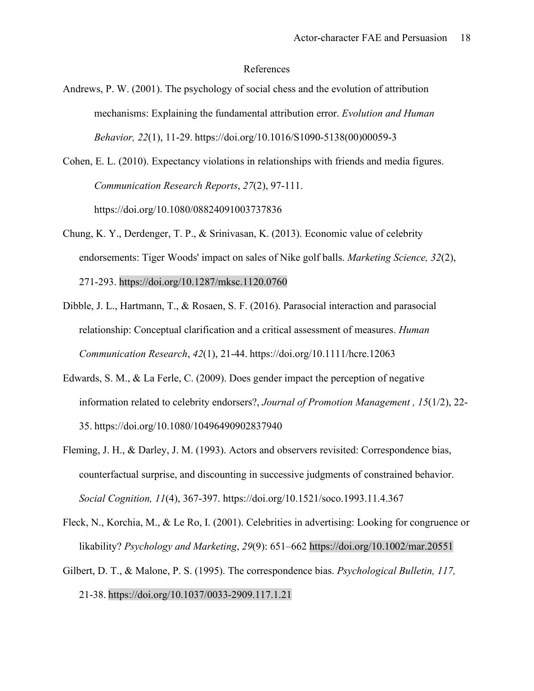#### References

Andrews, P. W. (2001). The psychology of social chess and the evolution of attribution mechanisms: Explaining the fundamental attribution error. *Evolution and Human Behavior, 22*(1), 11-29. https://doi.org/10.1016/S1090-5138(00)00059-3

Cohen, E. L. (2010). Expectancy violations in relationships with friends and media figures. *Communication Research Reports*, *27*(2), 97-111. https://doi.org/10.1080/08824091003737836

- Chung, K. Y., Derdenger, T. P., & Srinivasan, K. (2013). Economic value of celebrity endorsements: Tiger Woods' impact on sales of Nike golf balls. *Marketing Science, 32*(2), 271-293. https://doi.org/10.1287/mksc.1120.0760
- Dibble, J. L., Hartmann, T., & Rosaen, S. F. (2016). Parasocial interaction and parasocial relationship: Conceptual clarification and a critical assessment of measures. *Human Communication Research*, *42*(1), 21-44. https://doi.org/10.1111/hcre.12063
- Edwards, S. M., & La Ferle, C. (2009). Does gender impact the perception of negative information related to celebrity endorsers?, *Journal of Promotion Management , 15*(1/2), 22- 35. https://doi.org/10.1080/10496490902837940
- Fleming, J. H., & Darley, J. M. (1993). Actors and observers revisited: Correspondence bias, counterfactual surprise, and discounting in successive judgments of constrained behavior. *Social Cognition, 11*(4), 367-397. https://doi.org/10.1521/soco.1993.11.4.367
- Fleck, N., Korchia, M., & Le Ro, I. (2001). Celebrities in advertising: Looking for congruence or likability? *Psychology and Marketing*, *29*(9): 651–662 https://doi.org/10.1002/mar.20551
- Gilbert, D. T., & Malone, P. S. (1995). The correspondence bias. *Psychological Bulletin, 117,* 21-38. https://doi.org/10.1037/0033-2909.117.1.21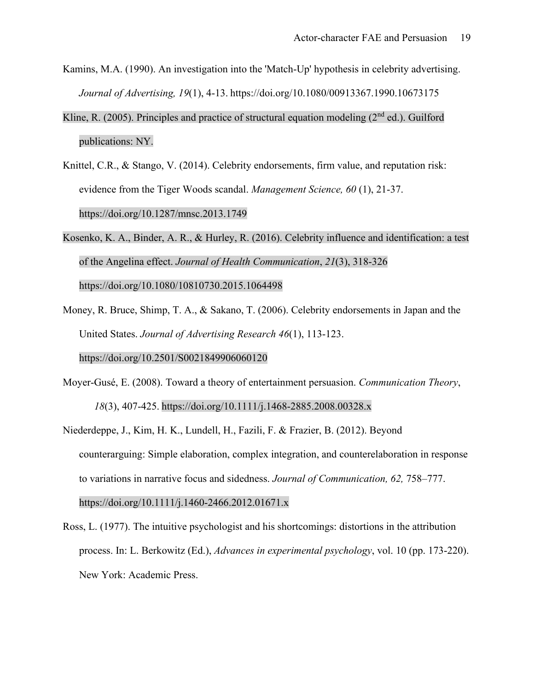- Kamins, M.A. (1990). An investigation into the 'Match-Up' hypothesis in celebrity advertising. *Journal of Advertising, 19*(1), 4-13. https://doi.org/10.1080/00913367.1990.10673175
- Kline, R. (2005). Principles and practice of structural equation modeling ( $2<sup>nd</sup>$  ed.). Guilford publications: NY.
- Knittel, C.R., & Stango, V. (2014). Celebrity endorsements, firm value, and reputation risk: evidence from the Tiger Woods scandal. *Management Science, 60* (1), 21-37. https://doi.org/10.1287/mnsc.2013.1749
- Kosenko, K. A., Binder, A. R., & Hurley, R. (2016). Celebrity influence and identification: a test of the Angelina effect. *Journal of Health Communication*, *21*(3), 318-326 https://doi.org/10.1080/10810730.2015.1064498
- Money, R. Bruce, Shimp, T. A., & Sakano, T. (2006). Celebrity endorsements in Japan and the United States. *Journal of Advertising Research 46*(1), 113-123. https://doi.org/10.2501/S0021849906060120
- Moyer-Gusé, E. (2008). Toward a theory of entertainment persuasion. *Communication Theory*, *18*(3), 407-425. https://doi.org/10.1111/j.1468-2885.2008.00328.x
- Niederdeppe, J., Kim, H. K., Lundell, H., Fazili, F. & Frazier, B. (2012). Beyond counterarguing: Simple elaboration, complex integration, and counterelaboration in response to variations in narrative focus and sidedness. *Journal of Communication, 62,* 758–777. https://doi.org/10.1111/j.1460-2466.2012.01671.x

Ross, L. (1977). The intuitive psychologist and his shortcomings: distortions in the attribution process. In: L. Berkowitz (Ed.), *Advances in experimental psychology*, vol. 10 (pp. 173-220). New York: Academic Press.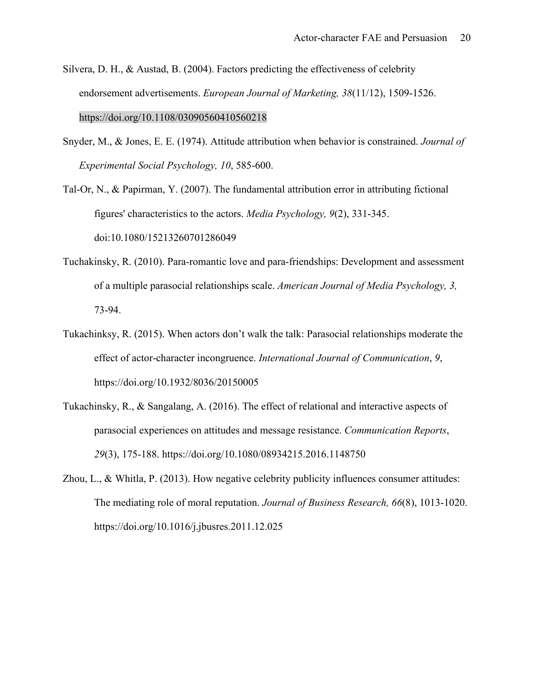- Silvera, D. H., & Austad, B. (2004). Factors predicting the effectiveness of celebrity endorsement advertisements. *European Journal of Marketing, 38*(11/12), 1509-1526. https://doi.org/10.1108/03090560410560218
- Snyder, M., & Jones, E. E. (1974). Attitude attribution when behavior is constrained. *Journal of Experimental Social Psychology, 10*, 585-600.

Tal-Or, N., & Papirman, Y. (2007). The fundamental attribution error in attributing fictional figures' characteristics to the actors. *Media Psychology, 9*(2), 331-345. doi:10.1080/15213260701286049

- Tuchakinsky, R. (2010). Para-romantic love and para-friendships: Development and assessment of a multiple parasocial relationships scale. *American Journal of Media Psychology, 3,*  73-94.
- Tukachinksy, R. (2015). When actors don't walk the talk: Parasocial relationships moderate the effect of actor-character incongruence. *International Journal of Communication*, *9*, https://doi.org/10.1932/8036/20150005
- Tukachinsky, R., & Sangalang, A. (2016). The effect of relational and interactive aspects of parasocial experiences on attitudes and message resistance. *Communication Reports*, *29*(3), 175-188. https://doi.org/10.1080/08934215.2016.1148750
- Zhou, L., & Whitla, P. (2013). How negative celebrity publicity influences consumer attitudes: The mediating role of moral reputation. *Journal of Business Research, 66*(8), 1013-1020. https://doi.org/10.1016/j.jbusres.2011.12.025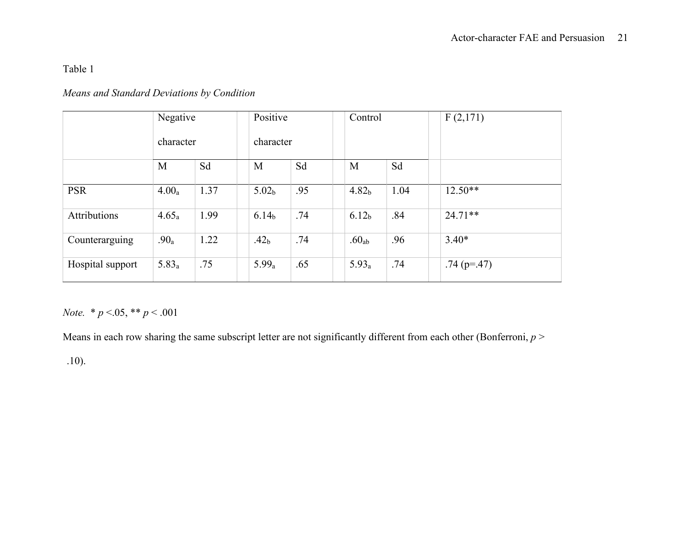Table 1

### *Means and Standard Deviations by Condition*

|                     | Negative          |      | Positive          |     | Control           |      | F(2,171)      |
|---------------------|-------------------|------|-------------------|-----|-------------------|------|---------------|
|                     | character         |      | character         |     |                   |      |               |
|                     | M                 | Sd   | M                 | Sd  | M                 | Sd   |               |
| <b>PSR</b>          | 4.00 <sub>a</sub> | 1.37 | 5.02 <sub>b</sub> | .95 | 4.82 <sub>b</sub> | 1.04 | $12.50**$     |
| <b>Attributions</b> | 4.65a             | 1.99 | 6.14 <sub>b</sub> | .74 | 6.12 <sub>b</sub> | .84  | $24.71**$     |
| Counterarguing      | .90 <sub>a</sub>  | 1.22 | .42 <sub>b</sub>  | .74 | .60 <sub>ab</sub> | .96  | $3.40*$       |
| Hospital support    | 5.83 <sub>a</sub> | .75  | 5.99a             | .65 | 5.93 <sub>a</sub> | .74  | $.74$ (p=.47) |

*Note.* \* *p* <.05, \*\* *p* < .001

Means in each row sharing the same subscript letter are not significantly different from each other (Bonferroni,  $p >$ 

.10).